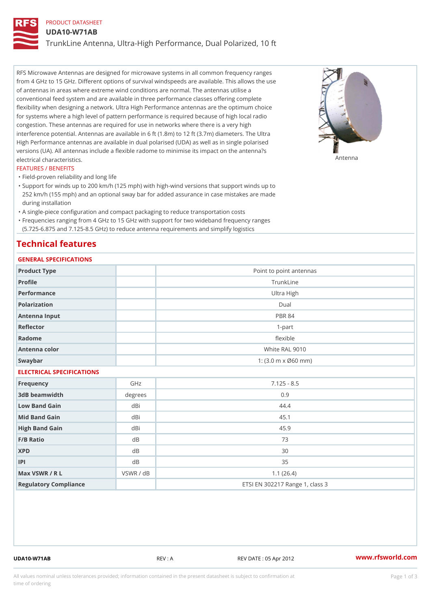# PRODUCT DATASHEET

#### UDA10-W71AB

TrunkLine Antenna, Ultra-High Performance, Dual Polarized, 10 ft

RFS Microwave Antennas are designed for microwave systems in all common frequency ranges from 4 GHz to 15 GHz. Different options of survival windspeeds are available. This allows the use of antennas in areas where extreme wind conditions are normal. The antennas utilise a conventional feed system and are available in three performance classes offering complete flexibility when designing a network. Ultra High Performance antennas are the optimum choice for systems where a high level of pattern performance is required because of high local radio congestion. These antennas are required for use in networks where there is a very high interference potential. Antennas are available in 6 ft (1.8m) to 12 ft (3.7m) diameters. The Ultra High Performance antennas are available in dual polarised (UDA) as well as in single polarised versions (UA). All antennas include a flexible radome to minimise its impact on the antenna?s electrical characteristics. Antenna

#### FEATURES / BENEFITS

"Field-proven reliability and long life

- Support for winds up to 200 km/h (125 mph) with high-wind versions that support winds up to " 252 km/h (155 mph) and an optional sway bar for added assurance in case mistakes are made during installation
- "A single-piece configuration and compact packaging to reduce transportation costs
- Frequencies ranging from 4 GHz to 15 GHz with support for two wideband frequency ranges "
- (5.725-6.875 and 7.125-8.5 GHz) to reduce antenna requirements and simplify logistics

## Technical features

## GENERAL SPECIFICATIONS

| GENERAL SELGIFICATIONS    |           |                                                         |  |  |  |
|---------------------------|-----------|---------------------------------------------------------|--|--|--|
| Product Type              |           | Point to point antennas                                 |  |  |  |
| Profile                   |           | TrunkLine                                               |  |  |  |
| Performance               |           | Ultra High                                              |  |  |  |
| Polarization              |           | $D$ ual                                                 |  |  |  |
| Antenna Input             |           | <b>PBR 84</b>                                           |  |  |  |
| Reflector                 |           | $1 - p$ art                                             |  |  |  |
| Radome                    |           | flexible                                                |  |  |  |
| Antenna color             |           | White RAL 9010                                          |  |  |  |
| Swaybar                   |           | 1: $(3.0 \, \text{m} \times \emptyset 60 \, \text{mm})$ |  |  |  |
| ELECTRICAL SPECIFICATIONS |           |                                                         |  |  |  |
| Frequency                 | GHz       | $7.125 - 8.5$                                           |  |  |  |
| 3dB beamwidth             | degrees   | 0.9                                                     |  |  |  |
| Low Band Gain             | dBi       | 44.4                                                    |  |  |  |
| Mid Band Gain             | dBi       | 45.1                                                    |  |  |  |
| High Band Gain            | dBi       | 45.9                                                    |  |  |  |
| F/B Ratio                 | d B       | 73                                                      |  |  |  |
| <b>XPD</b>                | d B       | 30                                                      |  |  |  |
| P                         | d B       | 35                                                      |  |  |  |
| Max VSWR / R L            | VSWR / dB | 1.1(26.4)                                               |  |  |  |
| Regulatory Compliance     |           | ETSI EN 302217 Range 1, class 3                         |  |  |  |

UDA10-W71AB REV : A REV DATE : 05 Apr 2012 [www.](https://www.rfsworld.com)rfsworld.com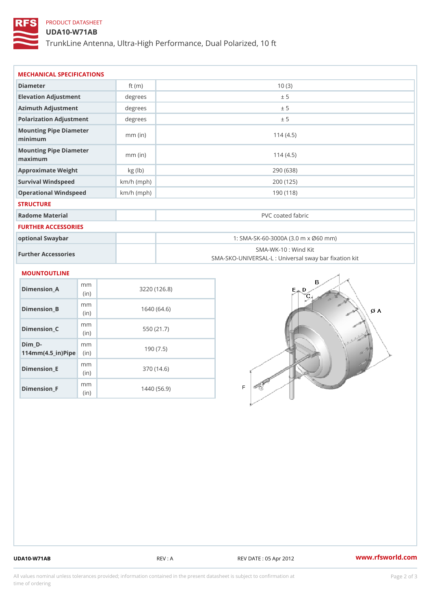# PRODUCT DATASHEET

## UDA10-W71AB

TrunkLine Antenna, Ultra-High Performance, Dual Polarized, 10 ft

| MECHANICAL SPECIFICATIONS                                             |              |                   |                                                                          |  |
|-----------------------------------------------------------------------|--------------|-------------------|--------------------------------------------------------------------------|--|
| Diameter                                                              | ft $(m)$     | 10(3)             |                                                                          |  |
| Elevation Adjustment                                                  | degree       | ± 5               |                                                                          |  |
| Azimuth Adjustment                                                    | degree:      | ± 5               |                                                                          |  |
| Polarization Adjustment                                               | degrees      | ± 5               |                                                                          |  |
| Mounting Pipe Diameter<br>minimum                                     | $mm$ (in)    | 114(4.5)          |                                                                          |  |
| Mounting Pipe Diameter<br>maximum                                     | $mm$ (in)    |                   | 114(4.5)                                                                 |  |
| Approximate Weight                                                    | kg (lb)      |                   | 290 (638)                                                                |  |
| Survival Windspeed                                                    | $km/h$ (mph) |                   | 200 (125)                                                                |  |
| Operational Windspeed                                                 | $km/h$ (mph) | 190 (118)         |                                                                          |  |
| <b>STRUCTURE</b>                                                      |              |                   |                                                                          |  |
| Radome Material                                                       |              | PVC coated fabric |                                                                          |  |
| <b>FURTHER ACCESSORIES</b>                                            |              |                   |                                                                          |  |
| optional Swaybar                                                      |              |                   | 1: SMA-SK-60-3000A (3.0 m x Ø60 mm)                                      |  |
| Further Accessories                                                   |              |                   | SMA-WK-10: Wind Kit<br>SMA-SKO-UNIVERSAL-L : Universal sway bar fixation |  |
| <b>MOUNTOUTLINE</b>                                                   |              |                   |                                                                          |  |
| m m<br>$Dimension_A$<br>(in)                                          |              | 3220(126.8)       |                                                                          |  |
| m m<br>$Dimension_B$<br>(in)                                          |              | 1640(64.6)        |                                                                          |  |
| m m<br>$Dimension_C$<br>(in)                                          |              | 550 (21.7)        |                                                                          |  |
| $Dim_D - D -$<br>m m<br>$114$ m m (4.5 _ ir ) $\sqrt{$ iip $\sqrt{ }$ |              | 190(7.5)          |                                                                          |  |
|                                                                       |              |                   |                                                                          |  |

Dimension\_E

Dimension\_F

mm (in)

m<sub>m</sub> (in)

370 (14.6)

1440 (56.9)

UDA10-W71AB REV : A REV DATE : 05 Apr 2012 [www.](https://www.rfsworld.com)rfsworld.com